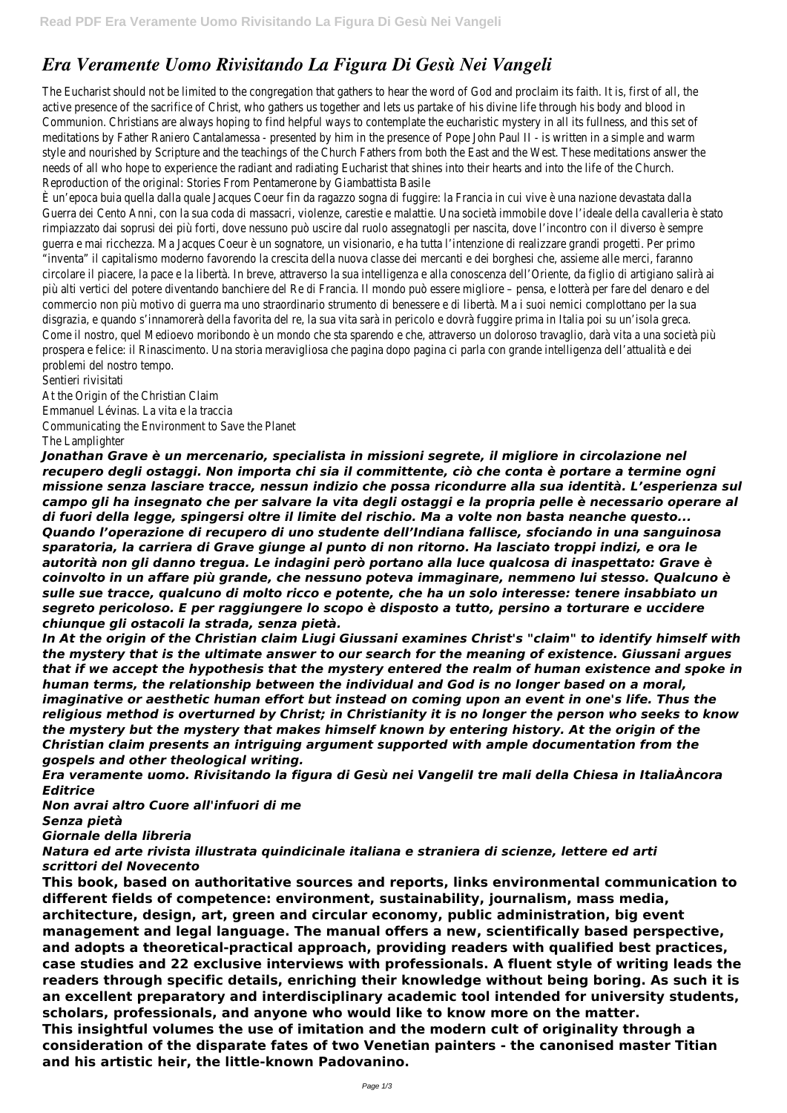## *Era Veramente Uomo Rivisitando La Figura Di Gesù Nei Vangeli*

The Eucharist should not be limited to the congregation that gathers to hear the word of God and proclaim its faith. It is, first of a active presence of the sacrifice of Christ, who gathers us together and lets us partake of his divine life through his body and blood Communion. Christians are always hoping to find helpful ways to contemplate the eucharistic mystery in all its fullness, and this set meditations by Father Raniero Cantalamessa - presented by him in the presence of Pope John Paul II - is written in a simple and wa style and nourished by Scripture and the teachings of the Church Fathers from both the East and the West. These meditations answere the Unit of the Mest. These meditations answer the Unit of the Unit of the Unit of the Uni needs of all who hope to experience the radiant and radiating Eucharist that shines into their hearts and into the life of the Church. Reproduction of the original: Stories From Pentamerone by Giambattista Basile

È un'epoca buia quella dalla quale Jacques Coeur fin da ragazzo sogna di fuggire: la Francia in cui vive è una nazione devastata dalla Guerra dei Cento Anni, con la sua coda di massacri, violenze, carestie e malattie. Una società immobile dove l'ideale della cavalleria è rimpiazzato dai soprusi dei più forti, dove nessuno può uscire dal ruolo assegnatogli per nascita, dove l'incontro con il diverso è sem guerra e mai ricchezza. Ma Jacques Coeur è un sognatore, un visionario, e ha tutta l'intenzione di realizzare grandi progetti. Per prim "inventa" il capitalismo moderno favorendo la crescita della nuova classe dei mercanti e dei borghesi che, assieme alle merci, faranno circolare il piacere, la pace e la libertà. In breve, attraverso la sua intelligenza e alla conoscenza dell'Oriente, da figlio di artigiano salir più alti vertici del potere diventando banchiere del Re di Francia. Il mondo può essere migliore – pensa, e lotterà per fare del denaro commercio non più motivo di guerra ma uno straordinario strumento di benessere e di libertà. Ma i suoi nemici complottano per la sua disgrazia, e quando s'innamorerà della favorita del re, la sua vita sarà in pericolo e dovrà fuggire prima in Italia poi su un'isola greca. Come il nostro, quel Medioevo moribondo è un mondo che sta sparendo e che, attraverso un doloroso travaglio, darà vita a una soci prospera e felice: il Rinascimento. Una storia meravigliosa che pagina dopo pagina ci parla con grande intelligenza dell'attualità e dei problemi del nostro tempo.

Sentieri rivisitati At the Origin of the Christian Claim Emmanuel Lévinas. La vita e la traccia Communicating the Environment to Save the Planet The Lamplighter

*Jonathan Grave è un mercenario, specialista in missioni segrete, il migliore in circolazione nel recupero degli ostaggi. Non importa chi sia il committente, ciò che conta è portare a termine ogni missione senza lasciare tracce, nessun indizio che possa ricondurre alla sua identità. L'esperienza sul campo gli ha insegnato che per salvare la vita degli ostaggi e la propria pelle è necessario operare al di fuori della legge, spingersi oltre il limite del rischio. Ma a volte non basta neanche questo... Quando l'operazione di recupero di uno studente dell'Indiana fallisce, sfociando in una sanguinosa sparatoria, la carriera di Grave giunge al punto di non ritorno. Ha lasciato troppi indizi, e ora le autorità non gli danno tregua. Le indagini però portano alla luce qualcosa di inaspettato: Grave è coinvolto in un affare più grande, che nessuno poteva immaginare, nemmeno lui stesso. Qualcuno è sulle sue tracce, qualcuno di molto ricco e potente, che ha un solo interesse: tenere insabbiato un segreto pericoloso. E per raggiungere lo scopo è disposto a tutto, persino a torturare e uccidere chiunque gli ostacoli la strada, senza pietà.*

*In At the origin of the Christian claim Liugi Giussani examines Christ's "claim" to identify himself with the mystery that is the ultimate answer to our search for the meaning of existence. Giussani argues that if we accept the hypothesis that the mystery entered the realm of human existence and spoke in human terms, the relationship between the individual and God is no longer based on a moral, imaginative or aesthetic human effort but instead on coming upon an event in one's life. Thus the religious method is overturned by Christ; in Christianity it is no longer the person who seeks to know the mystery but the mystery that makes himself known by entering history. At the origin of the Christian claim presents an intriguing argument supported with ample documentation from the gospels and other theological writing.*

*Era veramente uomo. Rivisitando la figura di Gesù nei VangeliI tre mali della Chiesa in ItaliaÀncora Editrice*

*Non avrai altro Cuore all'infuori di me Senza pietà Giornale della libreria*

## *Natura ed arte rivista illustrata quindicinale italiana e straniera di scienze, lettere ed arti scrittori del Novecento*

**This book, based on authoritative sources and reports, links environmental communication to different fields of competence: environment, sustainability, journalism, mass media, architecture, design, art, green and circular economy, public administration, big event management and legal language. The manual offers a new, scientifically based perspective, and adopts a theoretical-practical approach, providing readers with qualified best practices, case studies and 22 exclusive interviews with professionals. A fluent style of writing leads the readers through specific details, enriching their knowledge without being boring. As such it is an excellent preparatory and interdisciplinary academic tool intended for university students, scholars, professionals, and anyone who would like to know more on the matter. This insightful volumes the use of imitation and the modern cult of originality through a consideration of the disparate fates of two Venetian painters - the canonised master Titian and his artistic heir, the little-known Padovanino.**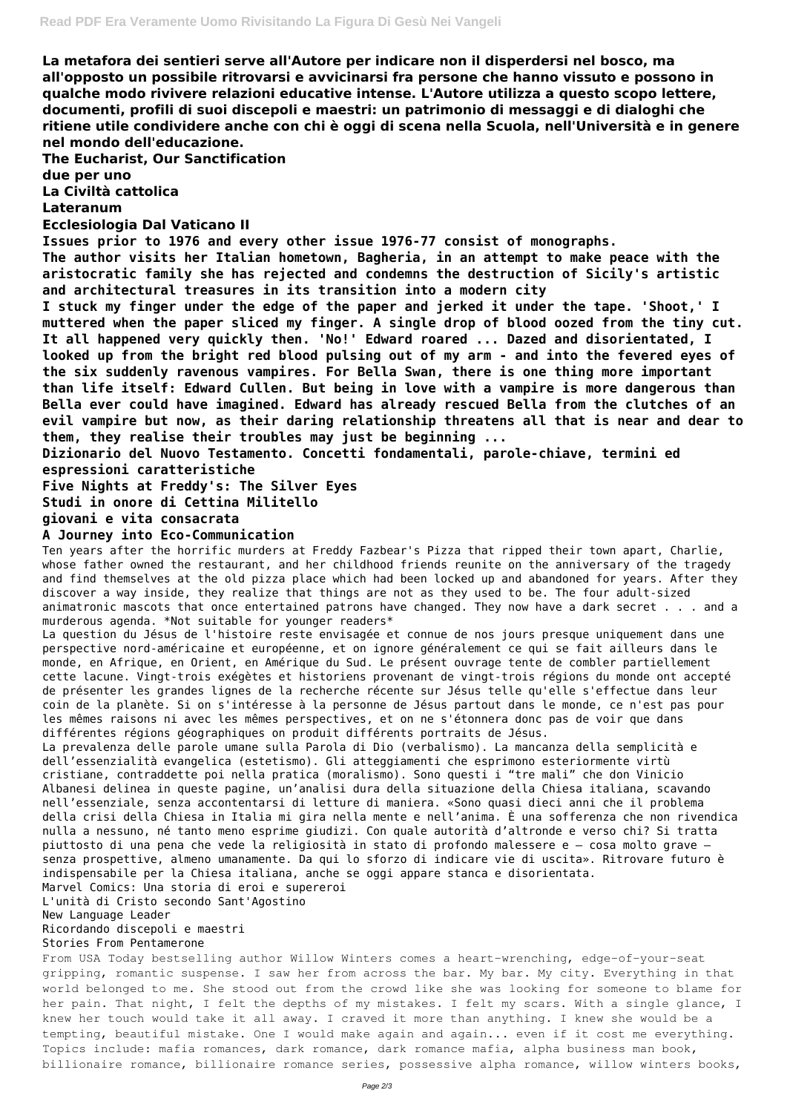**La metafora dei sentieri serve all'Autore per indicare non il disperdersi nel bosco, ma all'opposto un possibile ritrovarsi e avvicinarsi fra persone che hanno vissuto e possono in qualche modo rivivere relazioni educative intense. L'Autore utilizza a questo scopo lettere, documenti, profili di suoi discepoli e maestri: un patrimonio di messaggi e di dialoghi che ritiene utile condividere anche con chi è oggi di scena nella Scuola, nell'Università e in genere nel mondo dell'educazione.**

**The Eucharist, Our Sanctification**

**due per uno**

**La Civiltà cattolica**

## **Lateranum**

**Ecclesiologia Dal Vaticano II**

**Issues prior to 1976 and every other issue 1976-77 consist of monographs.**

**The author visits her Italian hometown, Bagheria, in an attempt to make peace with the aristocratic family she has rejected and condemns the destruction of Sicily's artistic and architectural treasures in its transition into a modern city**

**I stuck my finger under the edge of the paper and jerked it under the tape. 'Shoot,' I muttered when the paper sliced my finger. A single drop of blood oozed from the tiny cut. It all happened very quickly then. 'No!' Edward roared ... Dazed and disorientated, I looked up from the bright red blood pulsing out of my arm - and into the fevered eyes of the six suddenly ravenous vampires. For Bella Swan, there is one thing more important than life itself: Edward Cullen. But being in love with a vampire is more dangerous than Bella ever could have imagined. Edward has already rescued Bella from the clutches of an evil vampire but now, as their daring relationship threatens all that is near and dear to them, they realise their troubles may just be beginning ...**

**Dizionario del Nuovo Testamento. Concetti fondamentali, parole-chiave, termini ed espressioni caratteristiche**

**Five Nights at Freddy's: The Silver Eyes**

**Studi in onore di Cettina Militello**

**giovani e vita consacrata**

## **A Journey into Eco-Communication**

Ten years after the horrific murders at Freddy Fazbear's Pizza that ripped their town apart, Charlie, whose father owned the restaurant, and her childhood friends reunite on the anniversary of the tragedy and find themselves at the old pizza place which had been locked up and abandoned for years. After they discover a way inside, they realize that things are not as they used to be. The four adult-sized animatronic mascots that once entertained patrons have changed. They now have a dark secret . . . and a murderous agenda. \*Not suitable for younger readers\*

La question du Jésus de l'histoire reste envisagée et connue de nos jours presque uniquement dans une perspective nord-américaine et européenne, et on ignore généralement ce qui se fait ailleurs dans le monde, en Afrique, en Orient, en Amérique du Sud. Le présent ouvrage tente de combler partiellement cette lacune. Vingt-trois exégètes et historiens provenant de vingt-trois régions du monde ont accepté de présenter les grandes lignes de la recherche récente sur Jésus telle qu'elle s'effectue dans leur coin de la planète. Si on s'intéresse à la personne de Jésus partout dans le monde, ce n'est pas pour les mêmes raisons ni avec les mêmes perspectives, et on ne s'étonnera donc pas de voir que dans différentes régions géographiques on produit différents portraits de Jésus.

La prevalenza delle parole umane sulla Parola di Dio (verbalismo). La mancanza della semplicità e dell'essenzialità evangelica (estetismo). Gli atteggiamenti che esprimono esteriormente virtù cristiane, contraddette poi nella pratica (moralismo). Sono questi i "tre mali" che don Vinicio Albanesi delinea in queste pagine, un'analisi dura della situazione della Chiesa italiana, scavando nell'essenziale, senza accontentarsi di letture di maniera. «Sono quasi dieci anni che il problema della crisi della Chiesa in Italia mi gira nella mente e nell'anima. È una sofferenza che non rivendica nulla a nessuno, né tanto meno esprime giudizi. Con quale autorità d'altronde e verso chi? Si tratta piuttosto di una pena che vede la religiosità in stato di profondo malessere e – cosa molto grave – senza prospettive, almeno umanamente. Da qui lo sforzo di indicare vie di uscita». Ritrovare futuro è indispensabile per la Chiesa italiana, anche se oggi appare stanca e disorientata. Marvel Comics: Una storia di eroi e supereroi L'unità di Cristo secondo Sant'Agostino New Language Leader Ricordando discepoli e maestri Stories From Pentamerone From USA Today bestselling author Willow Winters comes a heart-wrenching, edge-of-your-seat gripping, romantic suspense. I saw her from across the bar. My bar. My city. Everything in that world belonged to me. She stood out from the crowd like she was looking for someone to blame for her pain. That night, I felt the depths of my mistakes. I felt my scars. With a single glance, I knew her touch would take it all away. I craved it more than anything. I knew she would be a tempting, beautiful mistake. One I would make again and again... even if it cost me everything. Topics include: mafia romances, dark romance, dark romance mafia, alpha business man book, billionaire romance, billionaire romance series, possessive alpha romance, willow winters books,